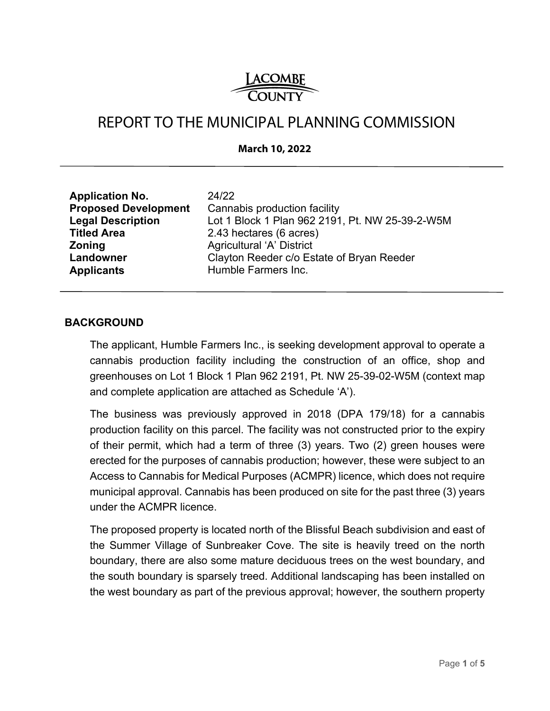# <u>LACOMBE</u><br>COUNTY

# REPORT TO THE MUNICIPAL PLANNING COMMISSION

#### **March 10, 2022**

| <b>Application No.</b><br>24/22<br><b>Proposed Development</b><br><b>Legal Description</b><br><b>Titled Area</b><br><b>Zoning</b><br>Landowner<br><b>Applicants</b> | Cannabis production facility<br>Lot 1 Block 1 Plan 962 2191, Pt. NW 25-39-2-W5M<br>2.43 hectares (6 acres)<br><b>Agricultural 'A' District</b><br>Clayton Reeder c/o Estate of Bryan Reeder<br>Humble Farmers Inc. |
|---------------------------------------------------------------------------------------------------------------------------------------------------------------------|--------------------------------------------------------------------------------------------------------------------------------------------------------------------------------------------------------------------|
|---------------------------------------------------------------------------------------------------------------------------------------------------------------------|--------------------------------------------------------------------------------------------------------------------------------------------------------------------------------------------------------------------|

#### **BACKGROUND**

The applicant, Humble Farmers Inc., is seeking development approval to operate a cannabis production facility including the construction of an office, shop and greenhouses on Lot 1 Block 1 Plan 962 2191, Pt. NW 25-39-02-W5M (context map and complete application are attached as Schedule 'A').

The business was previously approved in 2018 (DPA 179/18) for a cannabis production facility on this parcel. The facility was not constructed prior to the expiry of their permit, which had a term of three (3) years. Two (2) green houses were erected for the purposes of cannabis production; however, these were subject to an Access to Cannabis for Medical Purposes (ACMPR) licence, which does not require municipal approval. Cannabis has been produced on site for the past three (3) years under the ACMPR licence.

The proposed property is located north of the Blissful Beach subdivision and east of the Summer Village of Sunbreaker Cove. The site is heavily treed on the north boundary, there are also some mature deciduous trees on the west boundary, and the south boundary is sparsely treed. Additional landscaping has been installed on the west boundary as part of the previous approval; however, the southern property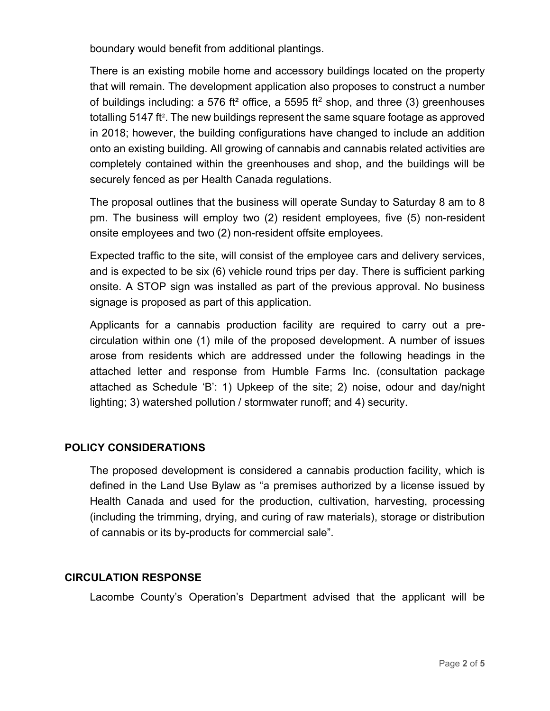boundary would benefit from additional plantings.

There is an existing mobile home and accessory buildings located on the property that will remain. The development application also proposes to construct a number of buildings including: a 576 ft<sup>2</sup> office, a 5595 ft<sup>2</sup> shop, and three (3) greenhouses totalling 5147 ft². The new buildings represent the same square footage as approved in 2018; however, the building configurations have changed to include an addition onto an existing building. All growing of cannabis and cannabis related activities are completely contained within the greenhouses and shop, and the buildings will be securely fenced as per Health Canada regulations.

The proposal outlines that the business will operate Sunday to Saturday 8 am to 8 pm. The business will employ two (2) resident employees, five (5) non-resident onsite employees and two (2) non-resident offsite employees.

Expected traffic to the site, will consist of the employee cars and delivery services, and is expected to be six (6) vehicle round trips per day. There is sufficient parking onsite. A STOP sign was installed as part of the previous approval. No business signage is proposed as part of this application.

Applicants for a cannabis production facility are required to carry out a precirculation within one (1) mile of the proposed development. A number of issues arose from residents which are addressed under the following headings in the attached letter and response from Humble Farms Inc. (consultation package attached as Schedule 'B': 1) Upkeep of the site; 2) noise, odour and day/night lighting; 3) watershed pollution / stormwater runoff; and 4) security.

# **POLICY CONSIDERATIONS**

The proposed development is considered a cannabis production facility, which is defined in the Land Use Bylaw as "a premises authorized by a license issued by Health Canada and used for the production, cultivation, harvesting, processing (including the trimming, drying, and curing of raw materials), storage or distribution of cannabis or its by-products for commercial sale".

# **CIRCULATION RESPONSE**

Lacombe County's Operation's Department advised that the applicant will be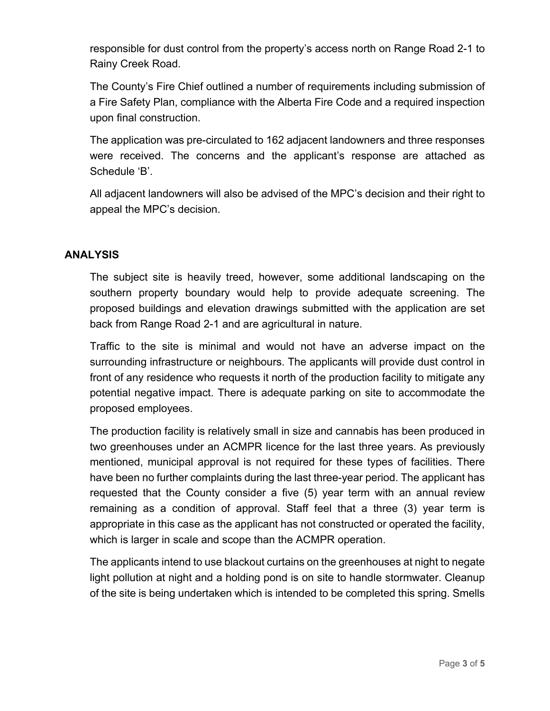responsible for dust control from the property's access north on Range Road 2-1 to Rainy Creek Road.

The County's Fire Chief outlined a number of requirements including submission of a Fire Safety Plan, compliance with the Alberta Fire Code and a required inspection upon final construction.

The application was pre-circulated to 162 adjacent landowners and three responses were received. The concerns and the applicant's response are attached as Schedule 'B'.

All adjacent landowners will also be advised of the MPC's decision and their right to appeal the MPC's decision.

# **ANALYSIS**

The subject site is heavily treed, however, some additional landscaping on the southern property boundary would help to provide adequate screening. The proposed buildings and elevation drawings submitted with the application are set back from Range Road 2-1 and are agricultural in nature.

Traffic to the site is minimal and would not have an adverse impact on the surrounding infrastructure or neighbours. The applicants will provide dust control in front of any residence who requests it north of the production facility to mitigate any potential negative impact. There is adequate parking on site to accommodate the proposed employees.

The production facility is relatively small in size and cannabis has been produced in two greenhouses under an ACMPR licence for the last three years. As previously mentioned, municipal approval is not required for these types of facilities. There have been no further complaints during the last three-year period. The applicant has requested that the County consider a five (5) year term with an annual review remaining as a condition of approval. Staff feel that a three (3) year term is appropriate in this case as the applicant has not constructed or operated the facility, which is larger in scale and scope than the ACMPR operation.

The applicants intend to use blackout curtains on the greenhouses at night to negate light pollution at night and a holding pond is on site to handle stormwater. Cleanup of the site is being undertaken which is intended to be completed this spring. Smells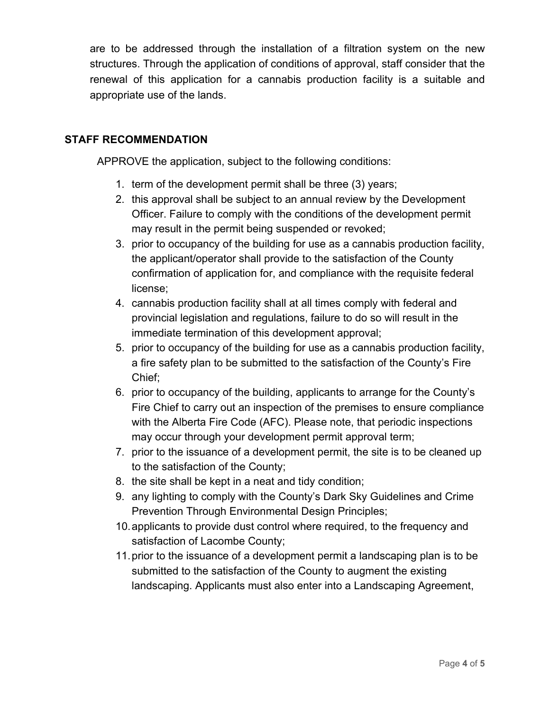are to be addressed through the installation of a filtration system on the new structures. Through the application of conditions of approval, staff consider that the renewal of this application for a cannabis production facility is a suitable and appropriate use of the lands.

# **STAFF RECOMMENDATION**

APPROVE the application, subject to the following conditions:

- 1. term of the development permit shall be three (3) years;
- 2. this approval shall be subject to an annual review by the Development Officer. Failure to comply with the conditions of the development permit may result in the permit being suspended or revoked;
- 3. prior to occupancy of the building for use as a cannabis production facility, the applicant/operator shall provide to the satisfaction of the County confirmation of application for, and compliance with the requisite federal license;
- 4. cannabis production facility shall at all times comply with federal and provincial legislation and regulations, failure to do so will result in the immediate termination of this development approval;
- 5. prior to occupancy of the building for use as a cannabis production facility, a fire safety plan to be submitted to the satisfaction of the County's Fire Chief;
- 6. prior to occupancy of the building, applicants to arrange for the County's Fire Chief to carry out an inspection of the premises to ensure compliance with the Alberta Fire Code (AFC). Please note, that periodic inspections may occur through your development permit approval term;
- 7. prior to the issuance of a development permit, the site is to be cleaned up to the satisfaction of the County;
- 8. the site shall be kept in a neat and tidy condition;
- 9. any lighting to comply with the County's Dark Sky Guidelines and Crime Prevention Through Environmental Design Principles;
- 10. applicants to provide dust control where required, to the frequency and satisfaction of Lacombe County;
- 11. prior to the issuance of a development permit a landscaping plan is to be submitted to the satisfaction of the County to augment the existing landscaping. Applicants must also enter into a Landscaping Agreement,